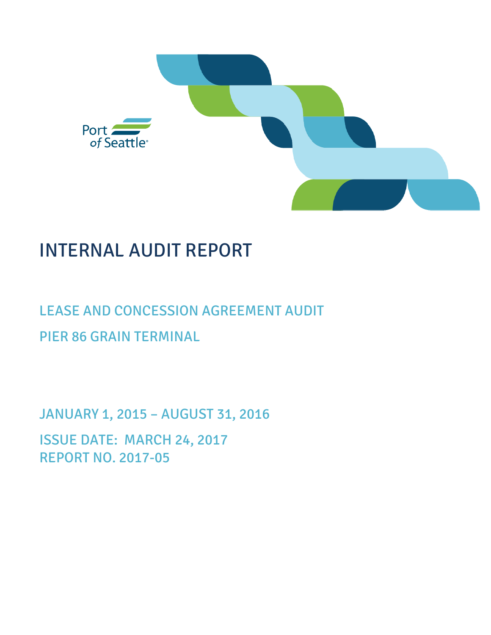

# INTERNAL AUDIT REPORT

# LEASE AND CONCESSION AGREEMENT AUDIT PIER 86 GRAIN TERMINAL

JANUARY 1, 2015 – AUGUST 31, 2016 ISSUE DATE: MARCH 24, 2017 REPORT NO. 2017-05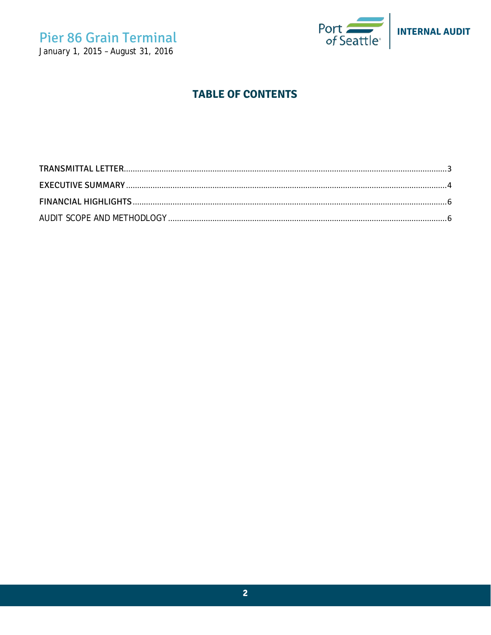## **Pier 86 Grain Terminal** January 1, 2015 - August 31, 2016



### **TABLE OF CONTENTS**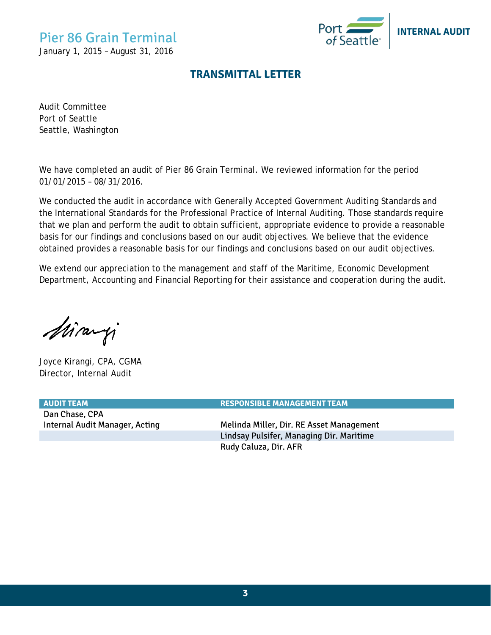## Pier 86 Grain Terminal

<span id="page-2-0"></span>January 1, 2015 – August 31, 2016



#### **TRANSMITTAL LETTER**

Audit Committee Port of Seattle Seattle, Washington

We have completed an audit of Pier 86 Grain Terminal. We reviewed information for the period 01/01/2015 – 08/31/2016.

We conducted the audit in accordance with Generally Accepted Government Auditing Standards and the International Standards for the Professional Practice of Internal Auditing. Those standards require that we plan and perform the audit to obtain sufficient, appropriate evidence to provide a reasonable basis for our findings and conclusions based on our audit objectives. We believe that the evidence obtained provides a reasonable basis for our findings and conclusions based on our audit objectives.

We extend our appreciation to the management and staff of the Maritime, Economic Development Department, Accounting and Financial Reporting for their assistance and cooperation during the audit.

Miranji

Joyce Kirangi, CPA, CGMA Director, Internal Audit

Dan Chase, CPA

**AUDIT TEAM RESPONSIBLE MANAGEMENT TEAM**

Internal Audit Manager, Acting Theorem Melinda Miller, Dir. RE Asset Management Lindsay Pulsifer, Managing Dir. Maritime Rudy Caluza, Dir. AFR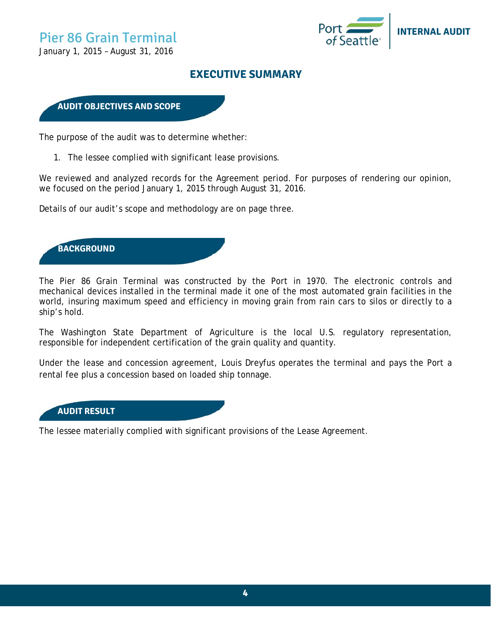

<span id="page-3-0"></span>January 1, 2015 – August 31, 2016

#### **EXECUTIVE SUMMARY**

#### **AUDIT OBJECTIVES AND SCOPE**

The purpose of the audit was to determine whether:

1. The lessee complied with significant lease provisions.

We reviewed and analyzed records for the Agreement period. For purposes of rendering our opinion, we focused on the period January 1, 2015 through August 31, 2016.

Details of our audit's scope and methodology are on page three.

**BACKGROUND** 

The Pier 86 Grain Terminal was constructed by the Port in 1970. The electronic controls and mechanical devices installed in the terminal made it one of the most automated grain facilities in the world, insuring maximum speed and efficiency in moving grain from rain cars to silos or directly to a ship's hold.

The Washington State Department of Agriculture is the local U.S. regulatory representation, responsible for independent certification of the grain quality and quantity.

Under the lease and concession agreement, Louis Dreyfus operates the terminal and pays the Port a rental fee plus a concession based on loaded ship tonnage.



The lessee materially complied with significant provisions of the Lease Agreement.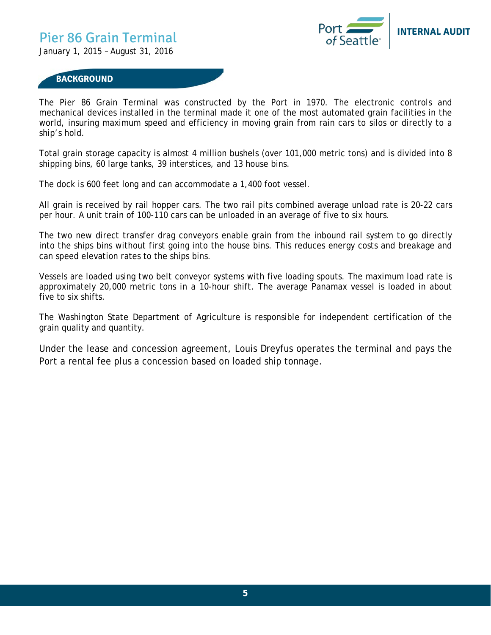## Pier 86 Grain Terminal

January 1, 2015 – August 31, 2016



#### **BACKGROUND**

The Pier 86 Grain Terminal was constructed by the Port in 1970. The electronic controls and mechanical devices installed in the terminal made it one of the most automated grain facilities in the world, insuring maximum speed and efficiency in moving grain from rain cars to silos or directly to a ship's hold.

Total grain storage capacity is almost 4 million bushels (over 101,000 metric tons) and is divided into 8 shipping bins, 60 large tanks, 39 interstices, and 13 house bins.

The dock is 600 feet long and can accommodate a 1,400 foot vessel.

All grain is received by rail hopper cars. The two rail pits combined average unload rate is 20-22 cars per hour. A unit train of 100-110 cars can be unloaded in an average of five to six hours.

The two new direct transfer drag conveyors enable grain from the inbound rail system to go directly into the ships bins without first going into the house bins. This reduces energy costs and breakage and can speed elevation rates to the ships bins.

Vessels are loaded using two belt conveyor systems with five loading spouts. The maximum load rate is approximately 20,000 metric tons in a 10-hour shift. The average Panamax vessel is loaded in about five to six shifts.

The Washington State Department of Agriculture is responsible for independent certification of the grain quality and quantity.

Under the lease and concession agreement, Louis Dreyfus operates the terminal and pays the Port a rental fee plus a concession based on loaded ship tonnage.